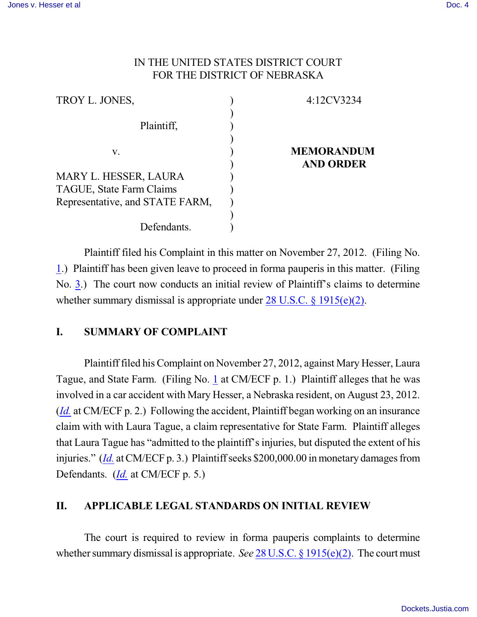## IN THE UNITED STATES DISTRICT COURT FOR THE DISTRICT OF NEBRASKA

| 4:12CV3234                            |
|---------------------------------------|
|                                       |
| <b>MEMORANDUM</b><br><b>AND ORDER</b> |
|                                       |
|                                       |
|                                       |
|                                       |
|                                       |
|                                       |

Plaintiff filed his Complaint in this matter on November 27, 2012. (Filing No. [1](http://ecf.ned.uscourts.gov/doc1/11302659449).) Plaintiff has been given leave to proceed in forma pauperis in this matter. (Filing No. [3](http://ecf.ned.uscourts.gov/doc1/11302663996).) The court now conducts an initial review of Plaintiff's claims to determine whether summary dismissal is appropriate under [28 U.S.C. § 1915\(e\)\(2\)](http://www.westlaw.com/find/default.wl?rs=CLWP3.0&vr=2.0&cite=28+USCA+s+1915%28e%29%282%29).

## **I. SUMMARY OF COMPLAINT**

Plaintifffiled hisComplaint on November 27, 2012, against Mary Hesser, Laura Tague, and State Farm. (Filing No. [1](http://ecf.ned.uscourts.gov/doc1/11302659449) at CM/ECF p. 1.) Plaintiff alleges that he was involved in a car accident with Mary Hesser, a Nebraska resident, on August 23, 2012. (*[Id.](https://ecf.ned.uscourts.gov/doc1/11312659449)* at CM/ECF p. 2.) Following the accident, Plaintiff began working on an insurance claim with with Laura Tague, a claim representative for State Farm. Plaintiff alleges that Laura Tague has "admitted to the plaintiff'sinjuries, but disputed the extent of his injuries." *([Id.](https://ecf.ned.uscourts.gov/doc1/11312659449)* at CM/ECF p. 3.) Plaintiff seeks \$200,000.00 in monetary damages from Defendants. (*[Id.](https://ecf.ned.uscourts.gov/doc1/11312659449)* at CM/ECF p. 5.)

## **II. APPLICABLE LEGAL STANDARDS ON INITIAL REVIEW**

The court is required to review in forma pauperis complaints to determine whether summary dismissal is appropriate. *See* 28 U.S.C. § [1915\(e\)\(2\)](http://www.westlaw.com/find/default.wl?rs=CLWP3.0&vr=2.0&cite=28+USCA+s+1915%28e%29%282%29). The court must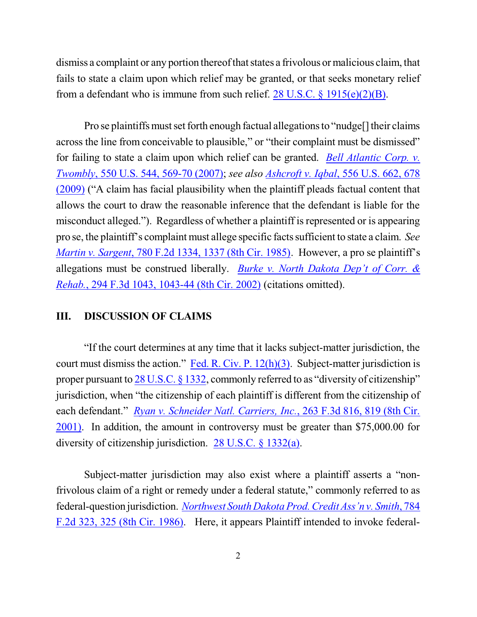dismiss a complaint or any portion thereof that states a frivolous or malicious claim, that fails to state a claim upon which relief may be granted, or that seeks monetary relief from a defendant who is immune from such relief.  $28 \text{ U.S.C. } 8 \frac{1915(e)(2)(B)}{B}$ .

Pro se plaintiffs must set forth enough factual allegations to "nudge[] their claims across the line from conceivable to plausible," or "their complaint must be dismissed" for failing to state a claim upon which relief can be granted. *[Bell Atlantic Corp. v.](http://www.westlaw.com/find/default.wl?rs=CLWP3.0&vr=2.0&cite=550+U.S.+544) Twombly*, 550 [U.S. 544, 569-70](http://www.westlaw.com/find/default.wl?rs=CLWP3.0&vr=2.0&cite=550+U.S.+544) (2007); *see also Ashcroft v. Iqbal*[, 556 U.S. 662, 678](http://www.westlaw.com/find/default.wl?rs=CLWP3.0&vr=2.0&cite=129+S.Ct.+1937) [\(2009\)](http://www.westlaw.com/find/default.wl?rs=CLWP3.0&vr=2.0&cite=129+S.Ct.+1937) ("A claim has facial plausibility when the plaintiff pleads factual content that allows the court to draw the reasonable inference that the defendant is liable for the misconduct alleged."). Regardless of whether a plaintiff is represented or is appearing pro se, the plaintiff's complaint must allege specific factssufficient to state a claim. *See Martin v. Sargent*, 780 F.2d [1334, 1337](http://www.westlaw.com/find/default.wl?rs=CLWP3.0&vr=2.0&cite=780+F.2d+1334) (8th Cir. 1985). However, a pro se plaintiff's allegations must be construed liberally. *Burke v. North Dakota Dep't [of Corr. &](http://www.westlaw.com/find/default.wl?rs=CLWP3.0&vr=2.0&cite=294+F.3d+1043) Rehab.*[, 294 F.3d 1043, 1043-44 \(8th Cir. 2002\)](http://www.westlaw.com/find/default.wl?rs=CLWP3.0&vr=2.0&cite=294+F.3d+1043) (citations omitted).

## **III. DISCUSSION OF CLAIMS**

"If the court determines at any time that it lacks subject-matter jurisdiction, the court must dismiss the action." [Fed. R. Civ. P. 12\(h\)\(3\)](http://web2.westlaw.com/result/default.wl?rs=WLW13.01&ss=CNT&cnt=DOC&cite=frcp+12&tnprpdd=None&cfid=2&cxt=DC&service=KeyCite&fn=_top&n=1&elmap=Inline&kcpm=True&vr=2.0&tnprpds=TaxNewsFIT&rlt=CLID_FQRLT53899584912221&mt=Nebraska&rlti=1&tf=0&rp=%2fKeyCite%2). Subject-matter jurisdiction is proper pursuant to 28 [U.S.C. §](http://www.westlaw.com/find/default.wl?rs=CLWP3.0&vr=2.0&cite=28+USCA+s+1332) 1332, commonly referred to as "diversity of citizenship" jurisdiction, when "the citizenship of each plaintiff is different from the citizenship of each defendant." *Ryan v. Schneider Natl. [Carriers, Inc.](http://www.westlaw.com/find/default.wl?rs=CLWP3.0&vr=2.0&cite=263+F.3d+816)*, 263 F.3d 816, 819 (8th Cir. [2001\)](http://www.westlaw.com/find/default.wl?rs=CLWP3.0&vr=2.0&cite=263+F.3d+816). In addition, the amount in controversy must be greater than \$75,000.00 for diversity of citizenship jurisdiction. [28 U.S.C. § 1332\(a\)](http://www.westlaw.com/find/default.wl?rs=CLWP3.0&vr=2.0&cite=28+USCA+s+1332%28a%29).

Subject-matter jurisdiction may also exist where a plaintiff asserts a "nonfrivolous claim of a right or remedy under a federal statute," commonly referred to as federal-question jurisdiction. *[Northwest SouthDakotaProd. Credit Ass'n](http://www.westlaw.com/find/default.wl?rs=CLWP3.0&vr=2.0&cite=784+F.2d+323) v. Smith*, 784 [F.2d 323, 325](http://www.westlaw.com/find/default.wl?rs=CLWP3.0&vr=2.0&cite=784+F.2d+323) (8th Cir. 1986). Here, it appears Plaintiff intended to invoke federal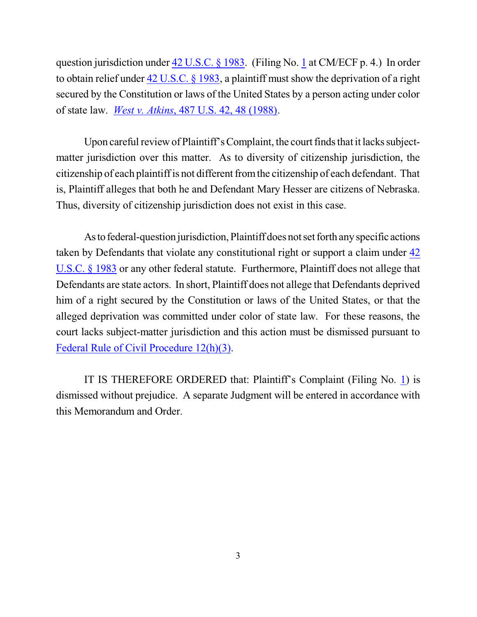question jurisdiction under 42 [U.S.C. §](http://www.westlaw.com/find/default.wl?rs=CLWP3.0&vr=2.0&cite=42+USCA+s+1983) 1983. (Filing No. [1](http://ecf.ned.uscourts.gov/doc1/11302659449) at CM/ECF p. 4.) In order to obtain relief under 42 [U.S.C. §](http://www.westlaw.com/find/default.wl?rs=CLWP3.0&vr=2.0&cite=42+USCA+s+1983) 1983, a plaintiff must show the deprivation of a right secured by the Constitution or laws of the United States by a person acting under color of state law. *West v. Atkins*[, 487 U.S. 42, 48 \(1988\)](http://www.westlaw.com/find/default.wl?rs=CLWP3.0&vr=2.0&cite=487+U.S.+42).

Upon careful review of Plaintiff's Complaint, the court finds that it lacks subjectmatter jurisdiction over this matter. As to diversity of citizenship jurisdiction, the citizenship of each plaintiffis not different fromthe citizenship of each defendant. That is, Plaintiff alleges that both he and Defendant Mary Hesser are citizens of Nebraska. Thus, diversity of citizenship jurisdiction does not exist in this case.

As to federal-question jurisdiction, Plaintiff does not set forth any specific actions taken by Defendants that violate any constitutional right or support a claim under [42](http://www.westlaw.com/find/default.wl?rs=CLWP3.0&vr=2.0&cite=42+USCA+s+1983) [U.S.C. §](http://www.westlaw.com/find/default.wl?rs=CLWP3.0&vr=2.0&cite=42+USCA+s+1983) 1983 or any other federal statute. Furthermore, Plaintiff does not allege that Defendants are state actors. In short, Plaintiff does not allege that Defendants deprived him of a right secured by the Constitution or laws of the United States, or that the alleged deprivation was committed under color of state law. For these reasons, the court lacks subject-matter jurisdiction and this action must be dismissed pursuant to [Federal Rule of Civil Procedure 12\(h\)\(3\)](http://web2.westlaw.com/result/default.wl?rs=WLW13.01&ss=CNT&cnt=DOC&cite=frcp+12&tnprpdd=None&cfid=2&cxt=DC&service=KeyCite&fn=_top&n=1&elmap=Inline&kcpm=True&vr=2.0&tnprpds=TaxNewsFIT&rlt=CLID_FQRLT9639559113221&mt=EighthCircuit&rlti=1&tf=0&rp=%2fKeyCi).

IT IS THEREFORE ORDERED that: Plaintiff's Complaint (Filing No. [1](http://ecf.ned.uscourts.gov/doc1/11302659449)) is dismissed without prejudice. A separate Judgment will be entered in accordance with this Memorandum and Order.